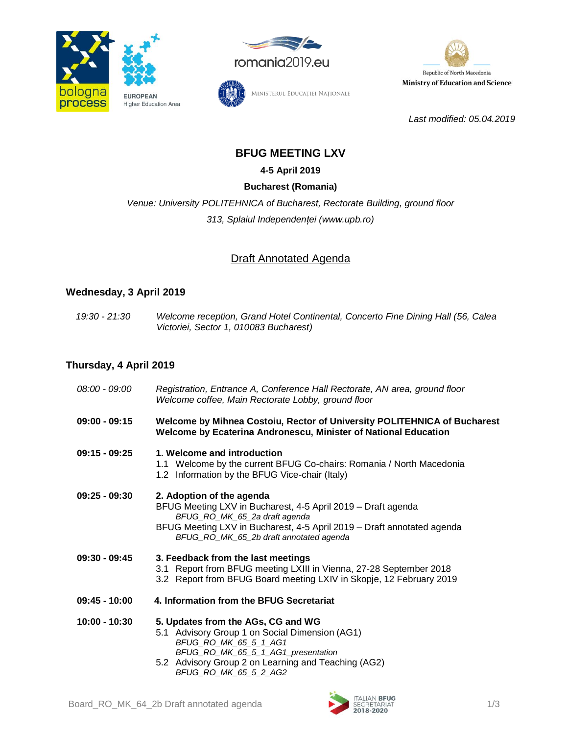





*Last modified: 05.04.2019*

# Ministerul Educației Naționale

## **BFUG MEETING LXV**

**4-5 April 2019**

## **Bucharest (Romania)**

*Venue: University POLITEHNICA of Bucharest, Rectorate Building, ground floor 313, Splaiul Independenței (www.upb.ro)*

## Draft Annotated Agenda

## **Wednesday, 3 April 2019**

*19:30 - 21:30 Welcome reception, Grand Hotel Continental, Concerto Fine Dining Hall (56, Calea Victoriei, Sector 1, 010083 Bucharest)*

## **Thursday, 4 April 2019**

| 08:00 - 09:00   | Registration, Entrance A, Conference Hall Rectorate, AN area, ground floor<br>Welcome coffee, Main Rectorate Lobby, ground floor                                                                                                                |
|-----------------|-------------------------------------------------------------------------------------------------------------------------------------------------------------------------------------------------------------------------------------------------|
| $09:00 - 09:15$ | Welcome by Mihnea Costoiu, Rector of University POLITEHNICA of Bucharest<br>Welcome by Ecaterina Andronescu, Minister of National Education                                                                                                     |
| $09:15 - 09:25$ | 1. Welcome and introduction<br>1.1 Welcome by the current BFUG Co-chairs: Romania / North Macedonia<br>1.2 Information by the BFUG Vice-chair (Italy)                                                                                           |
| $09:25 - 09:30$ | 2. Adoption of the agenda<br>BFUG Meeting LXV in Bucharest, 4-5 April 2019 - Draft agenda<br>BFUG_RO_MK_65_2a draft agenda<br>BFUG Meeting LXV in Bucharest, 4-5 April 2019 - Draft annotated agenda<br>BFUG_RO_MK_65_2b draft annotated agenda |
| $09:30 - 09:45$ | 3. Feedback from the last meetings<br>3.1 Report from BFUG meeting LXIII in Vienna, 27-28 September 2018<br>3.2 Report from BFUG Board meeting LXIV in Skopje, 12 February 2019                                                                 |
| $09:45 - 10:00$ | 4. Information from the BFUG Secretariat                                                                                                                                                                                                        |
| $10:00 - 10:30$ | 5. Updates from the AGs, CG and WG<br>5.1 Advisory Group 1 on Social Dimension (AG1)<br>BFUG_RO_MK_65_5_1_AG1<br>BFUG_RO_MK_65_5_1_AG1_presentation<br>5.2 Advisory Group 2 on Learning and Teaching (AG2)<br>BFUG_RO_MK_65_5_2_AG2             |



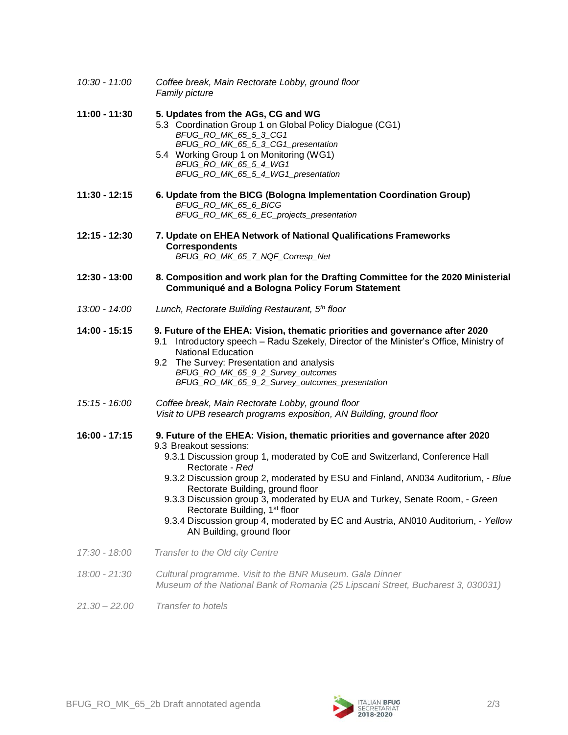| $10:30 - 11:00$ | Coffee break, Main Rectorate Lobby, ground floor<br>Family picture                                                                                                                                                                                                                                                                                                                                                                                                                                                                                                             |
|-----------------|--------------------------------------------------------------------------------------------------------------------------------------------------------------------------------------------------------------------------------------------------------------------------------------------------------------------------------------------------------------------------------------------------------------------------------------------------------------------------------------------------------------------------------------------------------------------------------|
| 11:00 - 11:30   | 5. Updates from the AGs, CG and WG<br>5.3 Coordination Group 1 on Global Policy Dialogue (CG1)<br>BFUG_RO_MK_65_5_3_CG1<br>BFUG_RO_MK_65_5_3_CG1_presentation<br>5.4 Working Group 1 on Monitoring (WG1)<br>BFUG_RO_MK_65_5_4_WG1<br>BFUG_RO_MK_65_5_4_WG1_presentation                                                                                                                                                                                                                                                                                                        |
| 11:30 - 12:15   | 6. Update from the BICG (Bologna Implementation Coordination Group)<br>BFUG RO MK 65 6 BICG<br>BFUG_RO_MK_65_6_EC_projects_presentation                                                                                                                                                                                                                                                                                                                                                                                                                                        |
| 12:15 - 12:30   | 7. Update on EHEA Network of National Qualifications Frameworks<br><b>Correspondents</b><br>BFUG_RO_MK_65_7_NQF_Corresp_Net                                                                                                                                                                                                                                                                                                                                                                                                                                                    |
| 12:30 - 13:00   | 8. Composition and work plan for the Drafting Committee for the 2020 Ministerial<br>Communiqué and a Bologna Policy Forum Statement                                                                                                                                                                                                                                                                                                                                                                                                                                            |
| 13:00 - 14:00   | Lunch, Rectorate Building Restaurant, 5th floor                                                                                                                                                                                                                                                                                                                                                                                                                                                                                                                                |
| 14:00 - 15:15   | 9. Future of the EHEA: Vision, thematic priorities and governance after 2020<br>Introductory speech - Radu Szekely, Director of the Minister's Office, Ministry of<br>9.1<br><b>National Education</b><br>9.2 The Survey: Presentation and analysis<br>BFUG_RO_MK_65_9_2_Survey_outcomes<br>BFUG_RO_MK_65_9_2_Survey_outcomes_presentation                                                                                                                                                                                                                                     |
| 15:15 - 16:00   | Coffee break, Main Rectorate Lobby, ground floor<br>Visit to UPB research programs exposition, AN Building, ground floor                                                                                                                                                                                                                                                                                                                                                                                                                                                       |
| 16:00 - 17:15   | 9. Future of the EHEA: Vision, thematic priorities and governance after 2020<br>9.3 Breakout sessions:<br>9.3.1 Discussion group 1, moderated by CoE and Switzerland, Conference Hall<br>Rectorate - Red<br>9.3.2 Discussion group 2, moderated by ESU and Finland, AN034 Auditorium, - Blue<br>Rectorate Building, ground floor<br>9.3.3 Discussion group 3, moderated by EUA and Turkey, Senate Room, - Green<br>Rectorate Building, 1 <sup>st</sup> floor<br>9.3.4 Discussion group 4, moderated by EC and Austria, AN010 Auditorium, - Yellow<br>AN Building, ground floor |
| 17:30 - 18:00   | Transfer to the Old city Centre                                                                                                                                                                                                                                                                                                                                                                                                                                                                                                                                                |
| 18:00 - 21:30   | Cultural programme. Visit to the BNR Museum. Gala Dinner<br>Museum of the National Bank of Romania (25 Lipscani Street, Bucharest 3, 030031)                                                                                                                                                                                                                                                                                                                                                                                                                                   |
|                 |                                                                                                                                                                                                                                                                                                                                                                                                                                                                                                                                                                                |

*21.30 – 22.00 Transfer to hotels*